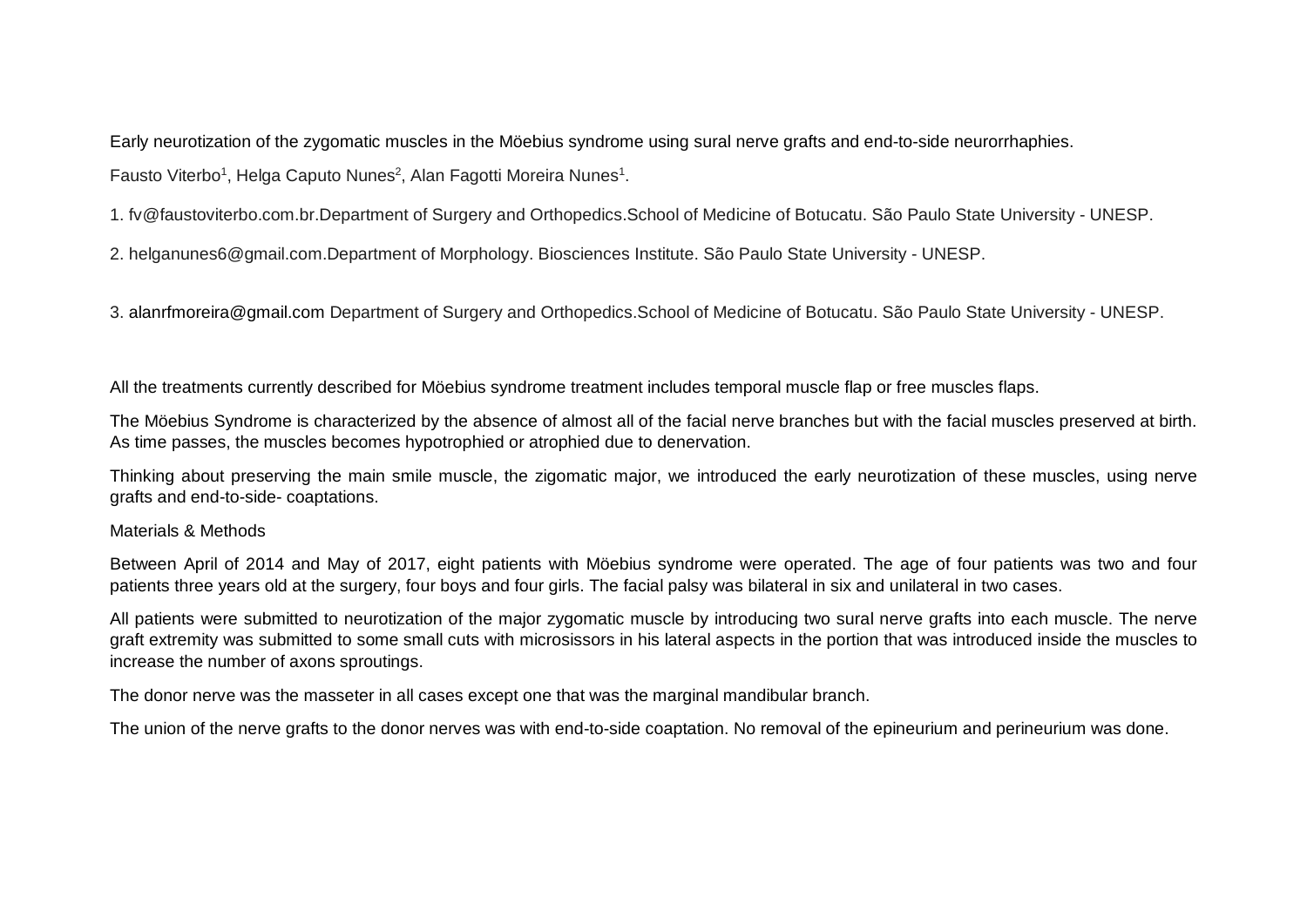Early neurotization of the zygomatic muscles in the Möebius syndrome using sural nerve grafts and end-to-side neurorrhaphies. Fausto Viterbo<sup>1</sup>, Helga Caputo Nunes<sup>2</sup>, Alan Fagotti Moreira Nunes<sup>1</sup>.

1. fv@faustoviterbo.com.br.Department of Surgery and Orthopedics.School of Medicine of Botucatu. São Paulo State University - UNESP.

2. helganunes6@gmail.com.Department of Morphology. Biosciences Institute. São Paulo State University - UNESP.

3. alanrfmoreira@gmail.com Department of Surgery and Orthopedics.School of Medicine of Botucatu. São Paulo State University - UNESP.

All the treatments currently described for Möebius syndrome treatment includes temporal muscle flap or free muscles flaps.

The Möebius Syndrome is characterized by the absence of almost all of the facial nerve branches but with the facial muscles preserved at birth. As time passes, the muscles becomes hypotrophied or atrophied due to denervation.

Thinking about preserving the main smile muscle, the zigomatic major, we introduced the early neurotization of these muscles, using nerve grafts and end-to-side- coaptations.

## Materials & Methods

Between April of 2014 and May of 2017, eight patients with Möebius syndrome were operated. The age of four patients was two and four patients three years old at the surgery, four boys and four girls. The facial palsy was bilateral in six and unilateral in two cases.

All patients were submitted to neurotization of the major zygomatic muscle by introducing two sural nerve grafts into each muscle. The nerve graft extremity was submitted to some small cuts with microsissors in his lateral aspects in the portion that was introduced inside the muscles to increase the number of axons sproutings.

The donor nerve was the masseter in all cases except one that was the marginal mandibular branch.

The union of the nerve grafts to the donor nerves was with end-to-side coaptation. No removal of the epineurium and perineurium was done.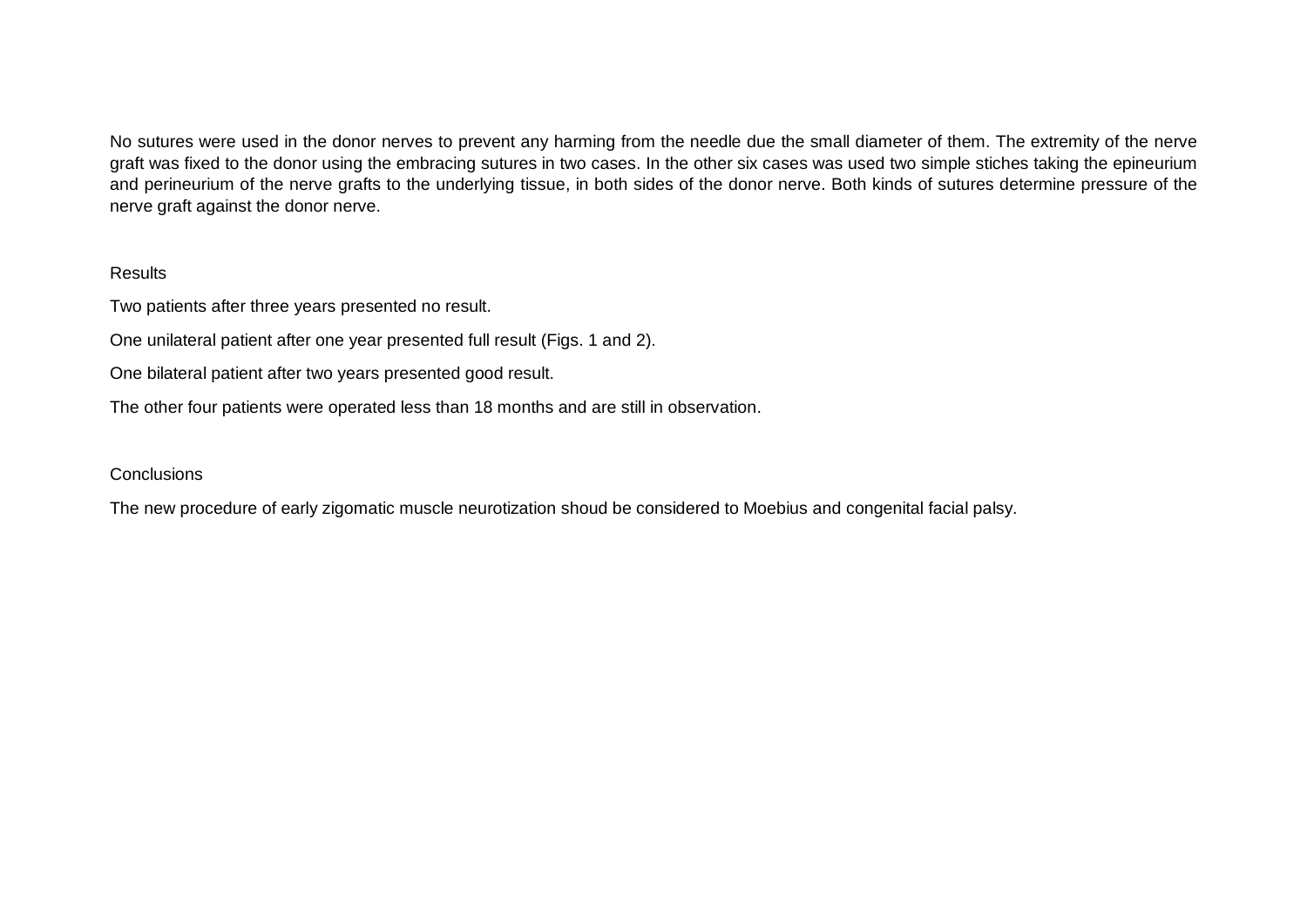No sutures were used in the donor nerves to prevent any harming from the needle due the small diameter of them. The extremity of the nerve graft was fixed to the donor using the embracing sutures in two cases. In the other six cases was used two simple stiches taking the epineurium and perineurium of the nerve grafts to the underlying tissue, in both sides of the donor nerve. Both kinds of sutures determine pressure of the nerve graft against the donor nerve.

## Results

Two patients after three years presented no result.

One unilateral patient after one year presented full result (Figs. 1 and 2).

One bilateral patient after two years presented good result.

The other four patients were operated less than 18 months and are still in observation.

## Conclusions

The new procedure of early zigomatic muscle neurotization shoud be considered to Moebius and congenital facial palsy.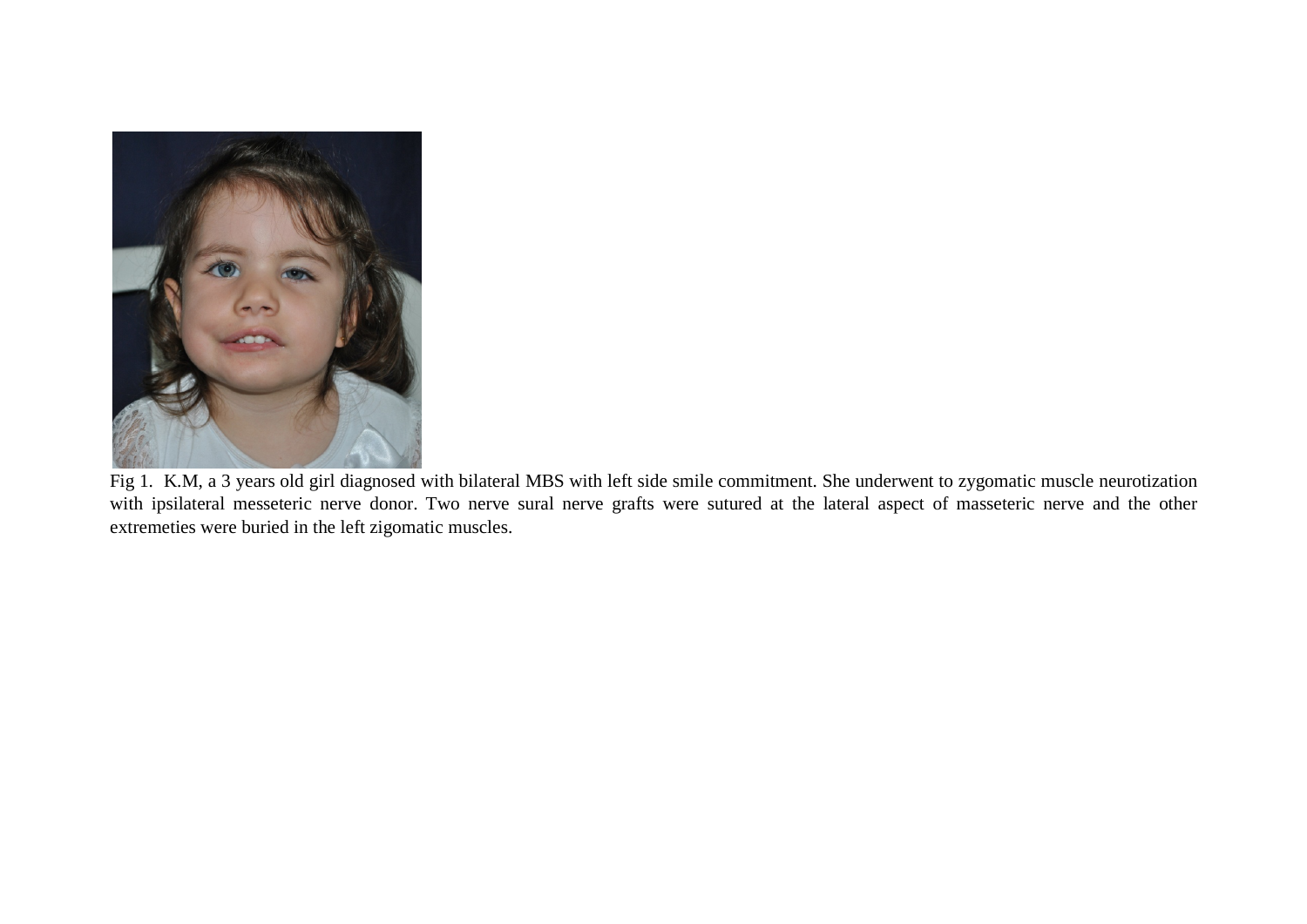

Fig 1. K.M, a 3 years old girl diagnosed with bilateral MBS with left side smile commitment. She underwent to zygomatic muscle neurotization with ipsilateral messeteric nerve donor. Two nerve sural nerve grafts were sutured at the lateral aspect of masseteric nerve and the other extremeties were buried in the left zigomatic muscles.